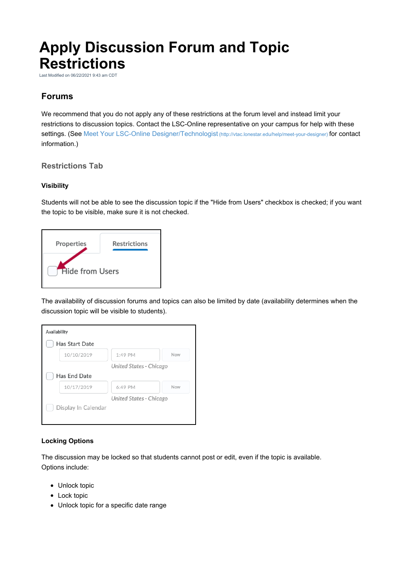# **Apply Discussion Forum and Topic Restrictions**

Last Modified on 06/22/2021 9:43 am CDT

# **Forums**

We recommend that you do not apply any of these restrictions at the forum level and instead limit your restrictions to discussion topics. Contact the LSC-Online representative on your campus for help with these settings. (See Meet Your LSC-Online Designer/Technologist (http://vtac.lonestar.edu/help/meet-your-designer) for contact information.)

## **Restrictions Tab**

### **Visibility**

Students will not be able to see the discussion topic if the "Hide from Users" checkbox is checked; if you want the topic to be visible, make sure it is not checked.

| Properties             | Restrictions |  |
|------------------------|--------------|--|
| <b>Hide from Users</b> |              |  |

The availability of discussion forums and topics can also be limited by date (availability determines when the discussion topic will be visible to students).

| Availability        |                         |     |  |
|---------------------|-------------------------|-----|--|
| Has Start Date      |                         |     |  |
| 10/10/2019          | 1:49 PM                 | Now |  |
|                     | United States - Chicago |     |  |
| Has End Date        |                         |     |  |
| 10/17/2019          | 6:49 PM                 | Now |  |
|                     | United States - Chicago |     |  |
| Display In Calendar |                         |     |  |
|                     |                         |     |  |

#### **Locking Options**

The discussion may be locked so that students cannot post or edit, even if the topic is available. Options include:

- Unlock topic
- Lock topic
- Unlock topic for a specific date range